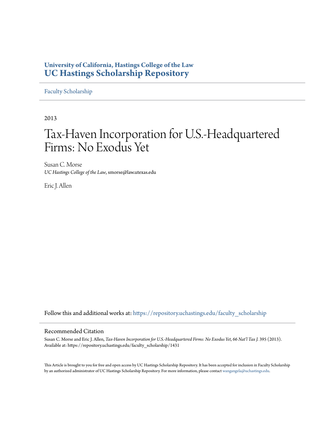# **University of California, Hastings College of the Law [UC Hastings Scholarship Repository](https://repository.uchastings.edu?utm_source=repository.uchastings.edu%2Ffaculty_scholarship%2F1431&utm_medium=PDF&utm_campaign=PDFCoverPages)**

[Faculty Scholarship](https://repository.uchastings.edu/faculty_scholarship?utm_source=repository.uchastings.edu%2Ffaculty_scholarship%2F1431&utm_medium=PDF&utm_campaign=PDFCoverPages)

2013

# Tax-Haven Incorporation for U.S.-Headquartered Firms: No Exodus Yet

Susan C. Morse *UC Hastings College of the Law*, smorse@law.utexas.edu

Eric J. Allen

Follow this and additional works at: [https://repository.uchastings.edu/faculty\\_scholarship](https://repository.uchastings.edu/faculty_scholarship?utm_source=repository.uchastings.edu%2Ffaculty_scholarship%2F1431&utm_medium=PDF&utm_campaign=PDFCoverPages)

# Recommended Citation

Susan C. Morse and Eric J. Allen, *Tax-Haven Incorporation for U.S.-Headquartered Firms: No Exodus Yet*, 66 *Nat'l Tax J.* 395 (2013). Available at: https://repository.uchastings.edu/faculty\_scholarship/1431

This Article is brought to you for free and open access by UC Hastings Scholarship Repository. It has been accepted for inclusion in Faculty Scholarship by an authorized administrator of UC Hastings Scholarship Repository. For more information, please contact [wangangela@uchastings.edu](mailto:wangangela@uchastings.edu).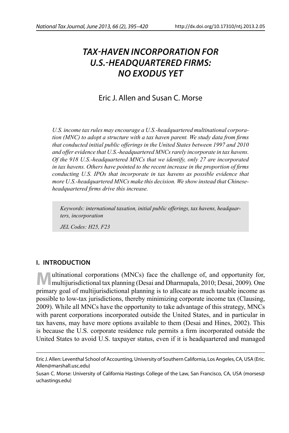# *TAX-HAVEN INCORPORATION FOR U.S.-HEADQUARTERED FIRMS: NO EXODUS YET*

# Eric J. Allen and Susan C. Morse

*U.S. income tax rules may encourage a U.S.-headquartered multinational corporation (MNC) to adopt a structure with a tax haven parent. We study data from firms that conducted initial public offerings in the United States between 1997 and 2010 and offer evidence that U.S.-headquartered MNCs rarely incorporate in tax havens. Of the 918 U.S.-headquartered MNCs that we identify, only 27 are incorporated*  in tax havens. Others have pointed to the recent increase in the proportion of firms *conducting U.S. IPOs that incorporate in tax havens as possible evidence that more U.S.-headquartered MNCs make this decision. We show instead that Chineseheadquartered fi rms drive this increase.* 

*Keywords: international taxation, initial public offerings, tax havens, headquarters, incorporation*

*JEL Codes: H25, F23*

# **I. INTRODUCTION**

**M**ultinational corporations (MNCs) face the challenge of, and opportunity for, multijurisdictional tax planning (Desai and Dharmapala, 2010; Desai, 2009). One primary goal of multijurisdictional planning is to allocate as much taxable income as possible to low-tax jurisdictions, thereby minimizing corporate income tax (Clausing, 2009). While all MNCs have the opportunity to take advantage of this strategy, MNCs with parent corporations incorporated outside the United States, and in particular in tax havens, may have more options available to them (Desai and Hines, 2002). This is because the U.S. corporate residence rule permits a firm incorporated outside the United States to avoid U.S. taxpayer status, even if it is headquartered and managed

Eric J. Allen: Leventhal School of Accounting, University of Southern California, Los Angeles, CA, USA (Eric. Allen@marshall.usc.edu)

Susan C. Morse: University of California Hastings College of the Law, San Francisco, CA, USA (morses@ uchastings.edu)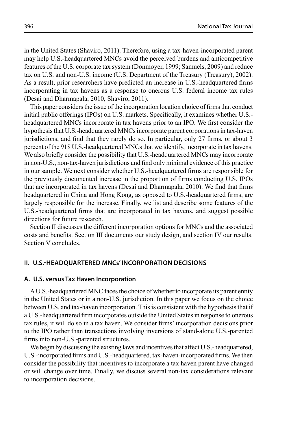in the United States (Shaviro, 2011). Therefore, using a tax-haven-incorporated parent may help U.S.-headquartered MNCs avoid the perceived burdens and anticompetitive features of the U.S. corporate tax system (Donmoyer, 1999; Samuels, 2009) and reduce tax on U.S. and non-U.S. income (U.S. Department of the Treasury (Treasury), 2002). As a result, prior researchers have predicted an increase in U.S.-headquartered firms incorporating in tax havens as a response to onerous U.S. federal income tax rules (Desai and Dharmapala, 2010, Shaviro, 2011).

This paper considers the issue of the incorporation location choice of firms that conduct initial public offerings (IPOs) on U.S. markets. Specifically, it examines whether U.S.headquartered MNCs incorporate in tax havens prior to an IPO. We first consider the hypothesis that U.S.-headquartered MNCs incorporate parent corporations in tax-haven jurisdictions, and find that they rarely do so. In particular, only 27 firms, or about 3 percent of the 918 U.S.-headquartered MNCs that we identify, incorporate in tax havens. We also briefly consider the possibility that U.S.-headquartered MNCs may incorporate in non-U.S., non-tax-haven jurisdictions and find only minimal evidence of this practice in our sample. We next consider whether U.S.-headquartered firms are responsible for the previously documented increase in the proportion of firms conducting U.S. IPOs that are incorporated in tax havens (Desai and Dharmapala, 2010). We find that firms headquartered in China and Hong Kong, as opposed to U.S.-headquartered firms, are largely responsible for the increase. Finally, we list and describe some features of the U.S.-headquartered firms that are incorporated in tax havens, and suggest possible directions for future research.

Section II discusses the different incorporation options for MNCs and the associated costs and benefits. Section III documents our study design, and section IV our results. Section V concludes.

# **II. U.S.-HEADQUARTERED MNCs' INCORPORATION DECISIONS**

#### **A. U.S. versus Tax Haven Incorporation**

A U.S.-headquartered MNC faces the choice of whether to incorporate its parent entity in the United States or in a non-U.S. jurisdiction. In this paper we focus on the choice between U.S. and tax-haven incorporation. This is consistent with the hypothesis that if a U.S.-headquartered firm incorporates outside the United States in response to onerous tax rules, it will do so in a tax haven. We consider firms' incorporation decisions prior to the IPO rather than transactions involving inversions of stand-alone U.S.-parented firms into non-U.S.-parented structures.

We begin by discussing the existing laws and incentives that affect U.S.-headquartered, U.S.-incorporated firms and U.S.-headquartered, tax-haven-incorporated firms. We then consider the possibility that incentives to incorporate a tax haven parent have changed or will change over time. Finally, we discuss several non-tax considerations relevant to incorporation decisions.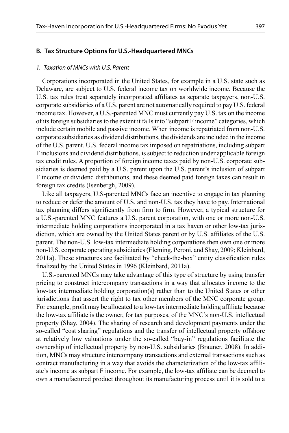#### 1. Taxation of MNCs with U.S. Parent

Corporations incorporated in the United States, for example in a U.S. state such as Delaware, are subject to U.S. federal income tax on worldwide income. Because the U.S. tax rules treat separately incorporated affiliates as separate taxpayers, non-U.S. corporate subsidiaries of a U.S. parent are not automatically required to pay U.S. federal income tax. However, a U.S.-parented MNC must currently pay U.S. tax on the income of its foreign subsidiaries to the extent it falls into "subpart F income" categories, which include certain mobile and passive income. When income is repatriated from non-U.S. corporate subsidiaries as dividend distributions, the dividends are included in the income of the U.S. parent. U.S. federal income tax imposed on repatriations, including subpart F inclusions and dividend distributions, is subject to reduction under applicable foreign tax credit rules. A proportion of foreign income taxes paid by non-U.S. corporate subsidiaries is deemed paid by a U.S. parent upon the U.S. parent's inclusion of subpart F income or dividend distributions, and these deemed paid foreign taxes can result in foreign tax credits (Isenbergh, 2009).

Like all taxpayers, U.S-parented MNCs face an incentive to engage in tax planning to reduce or defer the amount of U.S. and non-U.S. tax they have to pay. International tax planning differs significantly from firm to firm. However, a typical structure for a U.S.-parented MNC features a U.S. parent corporation, with one or more non-U.S. intermediate holding corporations incorporated in a tax haven or other low-tax jurisdiction, which are owned by the United States parent or by U.S. affiliates of the U.S. parent. The non-U.S. low-tax intermediate holding corporations then own one or more non-U.S. corporate operating subsidiaries (Fleming, Peroni, and Shay, 2009; Kleinbard, 2011a). These structures are facilitated by "check-the-box" entity classification rules finalized by the United States in 1996 (Kleinbard, 2011a).

U.S.-parented MNCs may take advantage of this type of structure by using transfer pricing to construct intercompany transactions in a way that allocates income to the low-tax intermediate holding corporation(s) rather than to the United States or other jurisdictions that assert the right to tax other members of the MNC corporate group. For example, profit may be allocated to a low-tax intermediate holding affiliate because the low-tax affiliate is the owner, for tax purposes, of the MNC's non-U.S. intellectual property (Shay, 2004). The sharing of research and development payments under the so-called "cost sharing" regulations and the transfer of intellectual property offshore at relatively low valuations under the so-called "buy-in" regulations facilitate the ownership of intellectual property by non-U.S. subsidiaries (Brauner, 2008). In addition, MNCs may structure intercompany transactions and external transactions such as contract manufacturing in a way that avoids the characterization of the low-tax affiliate's income as subpart F income. For example, the low-tax affiliate can be deemed to own a manufactured product throughout its manufacturing process until it is sold to a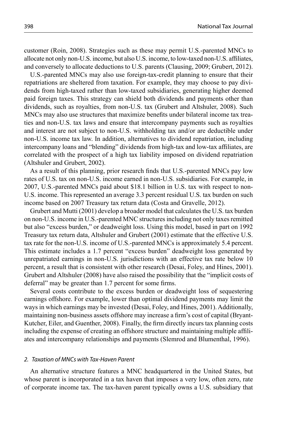customer (Roin, 2008). Strategies such as these may permit U.S.-parented MNCs to allocate not only non-U.S. income, but also U.S. income, to low-taxed non-U.S. affiliates, and conversely to allocate deductions to U.S. parents (Clausing, 2009; Grubert, 2012).

U.S.-parented MNCs may also use foreign-tax-credit planning to ensure that their repatriations are sheltered from taxation. For example, they may choose to pay dividends from high-taxed rather than low-taxed subsidiaries, generating higher deemed paid foreign taxes. This strategy can shield both dividends and payments other than dividends, such as royalties, from non-U.S. tax (Grubert and Altshuler, 2008). Such MNCs may also use structures that maximize benefits under bilateral income tax treaties and non-U.S. tax laws and ensure that intercompany payments such as royalties and interest are not subject to non-U.S. withholding tax and/or are deductible under non-U.S. income tax law. In addition, alternatives to dividend repatriation, including intercompany loans and "blending" dividends from high-tax and low-tax affiliates, are correlated with the prospect of a high tax liability imposed on dividend repatriation (Altshuler and Grubert, 2002).

As a result of this planning, prior research finds that U.S.-parented MNCs pay low rates of U.S. tax on non-U.S. income earned in non-U.S. subsidiaries. For example, in 2007, U.S.-parented MNCs paid about \$18.1 billion in U.S. tax with respect to non-U.S. income. This represented an average 3.3 percent residual U.S. tax burden on such income based on 2007 Treasury tax return data (Costa and Gravelle, 2012).

Grubert and Mutti (2001) develop a broader model that calculates the U.S. tax burden on non-U.S. income in U.S.-parented MNC structures including not only taxes remitted but also "excess burden," or deadweight loss. Using this model, based in part on 1992 Treasury tax return data, Altshuler and Grubert (2001) estimate that the effective U.S. tax rate for the non-U.S. income of U.S.-parented MNCs is approximately 5.4 percent. This estimate includes a 1.7 percent "excess burden" deadweight loss generated by unrepatriated earnings in non-U.S. jurisdictions with an effective tax rate below 10 percent, a result that is consistent with other research (Desai, Foley, and Hines, 2001). Grubert and Altshuler (2008) have also raised the possibility that the "implicit costs of deferral" may be greater than 1.7 percent for some firms.

Several costs contribute to the excess burden or deadweight loss of sequestering earnings offshore. For example, lower than optimal dividend payments may limit the ways in which earnings may be invested (Desai, Foley, and Hines, 2001). Additionally, maintaining non-business assets offshore may increase a firm's cost of capital (Bryant-Kutcher, Eiler, and Guenther, 2008). Finally, the firm directly incurs tax planning costs including the expense of creating an offshore structure and maintaining multiple affiliates and intercompany relationships and payments (Slemrod and Blumenthal, 1996).

#### 2. Taxation of MNCs with Tax-Haven Parent

An alternative structure features a MNC headquartered in the United States, but whose parent is incorporated in a tax haven that imposes a very low, often zero, rate of corporate income tax. The tax-haven parent typically owns a U.S. subsidiary that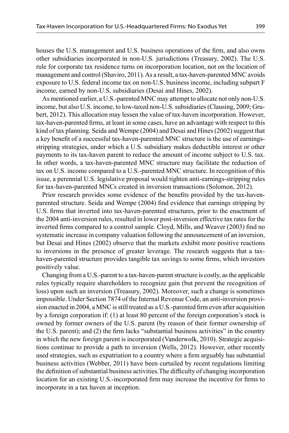houses the U.S. management and U.S. business operations of the firm, and also owns other subsidiaries incorporated in non-U.S. jurisdictions (Treasury, 2002). The U.S. rule for corporate tax residence turns on incorporation location, not on the location of management and control (Shaviro, 2011). As a result, a tax-haven-parented MNC avoids exposure to U.S. federal income tax on non-U.S. business income, including subpart F income, earned by non-U.S. subsidiaries (Desai and Hines, 2002).

As mentioned earlier, a U.S.-parented MNC may attempt to allocate not only non-U.S. income, but also U.S. income, to low-taxed non-U.S. subsidiaries (Clausing, 2009; Grubert, 2012). This allocation may lessen the value of tax-haven incorporation. However, tax-haven-parented firms, at least in some cases, have an advantage with respect to this kind of tax planning. Seida and Wempe (2004) and Desai and Hines (2002) suggest that a key benefit of a successful tax-haven-parented MNC structure is the use of earningsstripping strategies, under which a U.S. subsidiary makes deductible interest or other payments to its tax-haven parent to reduce the amount of income subject to U.S. tax. In other words, a tax-haven-parented MNC structure may facilitate the reduction of tax on U.S. income compared to a U.S.-parented MNC structure. In recognition of this issue, a perennial U.S. legislative proposal would tighten anti-earnings-stripping rules for tax-haven-parented MNCs created in inversion transactions (Solomon, 2012).

Prior research provides some evidence of the benefits provided by the tax-havenparented structure. Seida and Wempe (2004) find evidence that earnings stripping by U.S. firms that inverted into tax-haven-parented structures, prior to the enactment of the 2004 anti-inversion rules, resulted in lower post-inversion effective tax rates for the inverted firms compared to a control sample. Cloyd, Mills, and Weaver (2003) find no systematic increase in company valuation following the announcement of an inversion, but Desai and Hines (2002) observe that the markets exhibit more positive reactions to inversions in the presence of greater leverage. The research suggests that a taxhaven-parented structure provides tangible tax savings to some firms, which investors positively value.

Changing from a U.S.-parent to a tax-haven-parent structure is costly, as the applicable rules typically require shareholders to recognize gain (but prevent the recognition of loss) upon such an inversion (Treasury, 2002). Moreover, such a change is sometimes impossible. Under Section 7874 of the Internal Revenue Code, an anti-inversion provision enacted in 2004, a MNC is still treated as a U.S.-parented firm even after acquisition by a foreign corporation if: (1) at least 80 percent of the foreign corporation's stock is owned by former owners of the U.S. parent (by reason of their former ownership of the U.S. parent); and  $(2)$  the firm lacks "substantial business activities" in the country in which the new foreign parent is incorporated (Vanderwolk, 2010). Strategic acquisitions continue to provide a path to inversion (Wells, 2012). However, other recently used strategies, such as expatriation to a country where a firm arguably has substantial business activities (Webber, 2011) have been curtailed by recent regulations limiting the definition of substantial business activities. The difficulty of changing incorporation location for an existing U.S.-incorporated firm may increase the incentive for firms to incorporate in a tax haven at inception.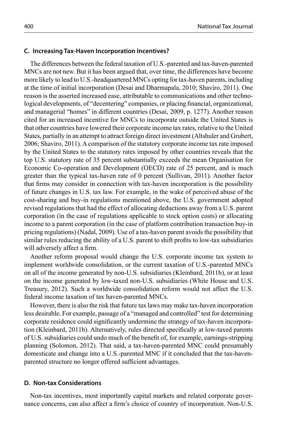#### **C. Increasing Tax-Haven Incorporation Incentives?**

The differences between the federal taxation of U.S.-parented and tax-haven-parented MNCs are not new. But it has been argued that, over time, the differences have become more likely to lead to U.S.-headquartered MNCs opting for tax-haven parents, including at the time of initial incorporation (Desai and Dharmapala, 2010; Shaviro, 2011). One reason is the asserted increased ease, attributable to communications and other technological developments, of "decentering" companies, or placing financial, organizational, and managerial "homes" in different countries (Desai, 2009, p. 1277). Another reason cited for an increased incentive for MNCs to incorporate outside the United States is that other countries have lowered their corporate income tax rates, relative to the United States, partially in an attempt to attract foreign direct investment (Altshuler and Grubert, 2006; Shaviro, 2011). A comparison of the statutory corporate income tax rate imposed by the United States to the statutory rates imposed by other countries reveals that the top U.S. statutory rate of 35 percent substantially exceeds the mean Organisation for Economic Co-operation and Development (OECD) rate of 25 percent, and is much greater than the typical tax-haven rate of 0 percent (Sullivan, 2011). Another factor that firms may consider in connection with tax-haven incorporation is the possibility of future changes in U.S. tax law. For example, in the wake of perceived abuse of the cost-sharing and buy-in regulations mentioned above, the U.S. government adopted revised regulations that had the effect of allocating deductions away from a U.S. parent corporation (in the case of regulations applicable to stock option costs) or allocating income to a parent corporation (in the case of platform contribution transaction buy-in pricing regulations) (Nadal, 2009). Use of a tax-haven parent avoids the possibility that similar rules reducing the ability of a U.S. parent to shift profits to low-tax subsidiaries will adversely affect a firm.

Another reform proposal would change the U.S. corporate income tax system to implement worldwide consolidation, or the current taxation of U.S.-parented MNCs on all of the income generated by non-U.S. subsidiaries (Kleinbard, 2011b), or at least on the income generated by low-taxed non-U.S. subsidiaries (White House and U.S. Treasury, 2012). Such a worldwide consolidation reform would not affect the U.S. federal income taxation of tax haven-parented MNCs.

However, there is also the risk that future tax laws may make tax-haven incorporation less desirable. For example, passage of a "managed and controlled" test for determining corporate residence could significantly undermine the strategy of tax-haven incorporation (Kleinbard, 2011b). Alternatively, rules directed specifically at low-taxed parents of U.S. subsidiaries could undo much of the benefi t of, for example, earnings-stripping planning (Solomon, 2012). That said, a tax-haven-parented MNC could presumably domesticate and change into a U.S.-parented MNC if it concluded that the tax-havenparented structure no longer offered sufficient advantages.

# **D. Non-tax Considerations**

Non-tax incentives, most importantly capital markets and related corporate governance concerns, can also affect a firm's choice of country of incorporation. Non-U.S.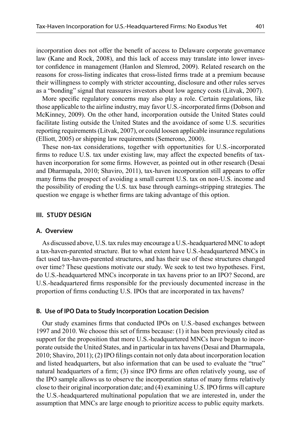incorporation does not offer the benefit of access to Delaware corporate governance law (Kane and Rock, 2008), and this lack of access may translate into lower investor confidence in management (Hanlon and Slemrod, 2009). Related research on the reasons for cross-listing indicates that cross-listed firms trade at a premium because their willingness to comply with stricter accounting, disclosure and other rules serves as a "bonding" signal that reassures investors about low agency costs (Litvak, 2007).

More specific regulatory concerns may also play a role. Certain regulations, like those applicable to the airline industry, may favor U.S.-incorporated firms (Dobson and McKinney, 2009). On the other hand, incorporation outside the United States could facilitate listing outside the United States and the avoidance of some U.S. securities reporting requirements (Litvak, 2007), or could loosen applicable insurance regulations (Elliott, 2005) or shipping law requirements (Semerono, 2000).

These non-tax considerations, together with opportunities for U.S.-incorporated firms to reduce U.S. tax under existing law, may affect the expected benefits of taxhaven incorporation for some firms. However, as pointed out in other research (Desai and Dharmapala, 2010; Shaviro, 2011), tax-haven incorporation still appears to offer many firms the prospect of avoiding a small current U.S. tax on non-U.S. income and the possibility of eroding the U.S. tax base through earnings-stripping strategies. The question we engage is whether firms are taking advantage of this option.

#### **III. STUDY DESIGN**

#### **A. Overview**

As discussed above, U.S. tax rules may encourage a U.S.-headquartered MNC to adopt a tax-haven-parented structure. But to what extent have U.S.-headquartered MNCs in fact used tax-haven-parented structures, and has their use of these structures changed over time? These questions motivate our study. We seek to test two hypotheses. First, do U.S.-headquartered MNCs incorporate in tax havens prior to an IPO? Second, are U.S.-headquartered firms responsible for the previously documented increase in the proportion of firms conducting U.S. IPOs that are incorporated in tax havens?

### **B. Use of IPO Data to Study Incorporation Location Decision**

Our study examines firms that conducted IPOs on U.S.-based exchanges between 1997 and 2010. We choose this set of firms because:  $(1)$  it has been previously cited as support for the proposition that more U.S.-headquartered MNCs have begun to incorporate outside the United States, and in particular in tax havens (Desai and Dharmapala, 2010; Shaviro, 2011); (2) IPO fi lings contain not only data about incorporation location and listed headquarters, but also information that can be used to evaluate the "true" natural headquarters of a firm;  $(3)$  since IPO firms are often relatively young, use of the IPO sample allows us to observe the incorporation status of many firms relatively close to their original incorporation date; and (4) examining U.S. IPO firms will capture the U.S.-headquartered multinational population that we are interested in, under the assumption that MNCs are large enough to prioritize access to public equity markets.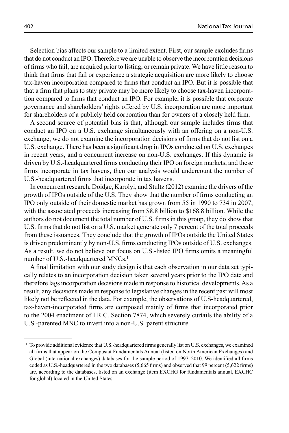Selection bias affects our sample to a limited extent. First, our sample excludes firms that do not conduct an IPO. Therefore we are unable to observe the incorporation decisions of firms who fail, are acquired prior to listing, or remain private. We have little reason to think that firms that fail or experience a strategic acquisition are more likely to choose tax-haven incorporation compared to firms that conduct an IPO. But it is possible that that a firm that plans to stay private may be more likely to choose tax-haven incorporation compared to firms that conduct an IPO. For example, it is possible that corporate governance and shareholders' rights offered by U.S. incorporation are more important for shareholders of a publicly held corporation than for owners of a closely held firm.

A second source of potential bias is that, although our sample includes firms that conduct an IPO on a U.S. exchange simultaneously with an offering on a non-U.S. exchange, we do not examine the incorporation decisions of firms that do not list on a U.S. exchange. There has been a significant drop in IPOs conducted on U.S. exchanges in recent years, and a concurrent increase on non-U.S. exchanges. If this dynamic is driven by U.S.-headquartered firms conducting their IPO on foreign markets, and these firms incorporate in tax havens, then our analysis would undercount the number of U.S.-headquartered firms that incorporate in tax havens.

In concurrent research, Doidge, Karolyi, and Stultz (2012) examine the drivers of the growth of IPOs outside of the U.S. They show that the number of firms conducting an IPO only outside of their domestic market has grown from 55 in 1990 to 734 in 2007, with the associated proceeds increasing from \$8.8 billion to \$168.8 billion. While the authors do not document the total number of U.S. firms in this group, they do show that U.S. firms that do not list on a U.S. market generate only 7 percent of the total proceeds from these issuances. They conclude that the growth of IPOs outside the United States is driven predominantly by non-U.S. firms conducting IPOs outside of U.S. exchanges. As a result, we do not believe our focus on U.S.-listed IPO firms omits a meaningful number of U.S.-headquartered MNCs.<sup>1</sup>

A final limitation with our study design is that each observation in our data set typically relates to an incorporation decision taken several years prior to the IPO date and therefore lags incorporation decisions made in response to historical developments. As a result, any decisions made in response to legislative changes in the recent past will most likely not be reflected in the data. For example, the observations of U.S-headquartered, tax-haven-incorporated firms are composed mainly of firms that incorporated prior to the 2004 enactment of I.R.C. Section 7874, which severely curtails the ability of a U.S.-parented MNC to invert into a non-U.S. parent structure.

<sup>&</sup>lt;sup>1</sup> To provide additional evidence that U.S.-headquartered firms generally list on U.S. exchanges, we examined all firms that appear on the Compustat Fundamentals Annual (listed on North American Exchanges) and Global (international exchanges) databases for the sample period of 1997–2010. We identified all firms coded as U.S.-headquartered in the two databases (5,665 firms) and observed that 99 percent (5,622 firms) are, according to the databases, listed on an exchange (item EXCHG for fundamentals annual, EXCHC for global) located in the United States.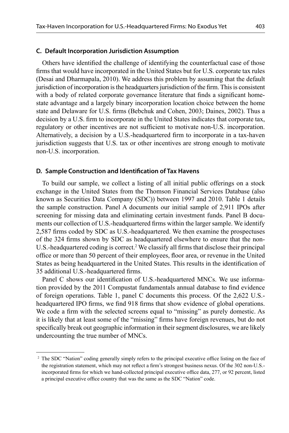## **C. Default Incorporation Jurisdiction Assumption**

Others have identified the challenge of identifying the counterfactual case of those firms that would have incorporated in the United States but for U.S. corporate tax rules (Desai and Dharmapala, 2010). We address this problem by assuming that the default jurisdiction of incorporation is the headquarters jurisdiction of the firm. This is consistent with a body of related corporate governance literature that finds a significant homestate advantage and a largely binary incorporation location choice between the home state and Delaware for U.S. firms (Bebchuk and Cohen, 2003; Daines, 2002). Thus a decision by a U.S. firm to incorporate in the United States indicates that corporate tax, regulatory or other incentives are not sufficient to motivate non-U.S. incorporation. Alternatively, a decision by a U.S.-headquartered firm to incorporate in a tax-haven jurisdiction suggests that U.S. tax or other incentives are strong enough to motivate non-U.S. incorporation.

# **D. Sample Construction and Identification of Tax Havens**

To build our sample, we collect a listing of all initial public offerings on a stock exchange in the United States from the Thomson Financial Services Database (also known as Securities Data Company (SDC)) between 1997 and 2010. Table 1 details the sample construction. Panel A documents our initial sample of 2,911 IPOs after screening for missing data and eliminating certain investment funds. Panel B documents our collection of U.S.-headquartered firms within the larger sample. We identify 2,587 firms coded by SDC as U.S.-headquartered. We then examine the prospectuses of the 324 firms shown by SDC as headquartered elsewhere to ensure that the non-U.S.-headquartered coding is correct.<sup>2</sup> We classify all firms that disclose their principal office or more than 50 percent of their employees, floor area, or revenue in the United States as being headquartered in the United States. This results in the identification of 35 additional U.S.-headquartered firms.

Panel C shows our identification of U.S.-headquartered MNCs. We use information provided by the 2011 Compustat fundamentals annual database to find evidence of foreign operations. Table 1, panel C documents this process. Of the 2,622 U.S. headquartered IPO firms, we find 918 firms that show evidence of global operations. We code a firm with the selected screens equal to "missing" as purely domestic. As it is likely that at least some of the "missing" firms have foreign revenues, but do not specifically break out geographic information in their segment disclosures, we are likely undercounting the true number of MNCs.

<sup>&</sup>lt;sup>2</sup> The SDC "Nation" coding generally simply refers to the principal executive office listing on the face of the registration statement, which may not reflect a firm's strongest business nexus. Of the 302 non-U.S.incorporated firms for which we hand-collected principal executive office data, 277, or 92 percent, listed a principal executive office country that was the same as the SDC "Nation" code.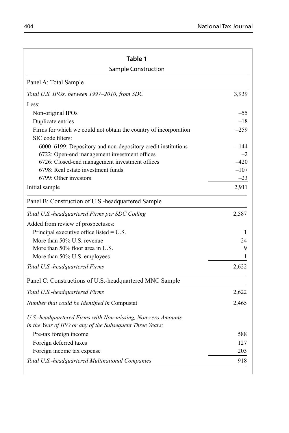| Table 1                                                                               |        |  |  |
|---------------------------------------------------------------------------------------|--------|--|--|
| Sample Construction                                                                   |        |  |  |
| Panel A: Total Sample                                                                 |        |  |  |
| Total U.S. IPOs, between 1997-2010, from SDC                                          | 3,939  |  |  |
| Less:                                                                                 |        |  |  |
| Non-original IPOs                                                                     | $-55$  |  |  |
| Duplicate entries                                                                     | $-18$  |  |  |
| Firms for which we could not obtain the country of incorporation<br>SIC code filters: | $-259$ |  |  |
| 6000-6199: Depository and non-depository credit institutions                          | $-144$ |  |  |
| 6722: Open-end management investment offices                                          | $-2$   |  |  |
| 6726: Closed-end management investment offices                                        | $-420$ |  |  |
| 6798: Real estate investment funds                                                    | $-107$ |  |  |
| 6799: Other investors                                                                 | $-23$  |  |  |
| Initial sample                                                                        | 2,911  |  |  |
| Panel B: Construction of U.S.-headquartered Sample                                    |        |  |  |
| Total U.S.-headquartered Firms per SDC Coding                                         | 2,587  |  |  |
| Added from review of prospectuses:                                                    |        |  |  |
| Principal executive office listed $=$ U.S.                                            | 1      |  |  |
| More than 50% U.S. revenue                                                            | 24     |  |  |
| More than 50% floor area in U.S.                                                      | 9      |  |  |
| More than 50% U.S. employees                                                          | 1      |  |  |
| Total U.S.-headquartered Firms                                                        | 2,622  |  |  |
| Panel C: Constructions of U.S.-headquartered MNC Sample                               |        |  |  |
| Total U.S.-headquartered Firms                                                        | 2,622  |  |  |
| Number that could be Identified in Compustat                                          | 2,465  |  |  |
| U.S.-headquartered Firms with Non-missing, Non-zero Amounts                           |        |  |  |
| in the Year of IPO or any of the Subsequent Three Years:                              |        |  |  |
| Pre-tax foreign income                                                                | 588    |  |  |
| Foreign deferred taxes                                                                | 127    |  |  |
| Foreign income tax expense                                                            | 203    |  |  |
| Total U.S.-headquartered Multinational Companies                                      | 918    |  |  |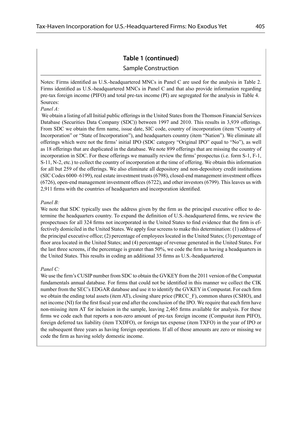# **Table 1 (continued)**

## Sample Construction

Notes: Firms identified as U.S.-headquartered MNCs in Panel C are used for the analysis in Table 2. Firms identified as U.S.-headquartered MNCs in Panel C and that also provide information regarding pre-tax foreign income (PIFO) and total pre-tax income (PI) are segregated for the analysis in Table 4. Sources:

#### *Panel A:*

We obtain a listing of all Initial public offerings in the United States from the Thomson Financial Services Database (Securities Data Company (SDC)) between 1997 and 2010. This results in 3,939 offerings. From SDC we obtain the firm name, issue date, SIC code, country of incorporation (item "Country of Incorporation" or "State of Incorporation"), and headquarters country (item "Nation"). We eliminate all offerings which were not the firms' initial IPO (SDC category "Original IPO" equal to "No"), as well as 18 offerings that are duplicated in the database. We note 899 offerings that are missing the country of incorporation in SDC. For these offerings we manually review the firms' prospectus (i.e. form  $S-1$ ,  $F-1$ , S-11, N-2, etc.) to collect the country of incorporation at the time of offering. We obtain this information for all but 259 of the offerings. We also eliminate all depository and non-depository credit institutions  $(SIC Codes 6000–6199)$ , real estate investment trusts  $(6798)$ , closed-end management investment offices  $(6726)$ , open-end management investment offices  $(6722)$ , and other investors  $(6799)$ . This leaves us with 2,911 firms with the countries of headquarters and incorporation identified.

## *Panel B:*

We note that SDC typically uses the address given by the firm as the principal executive office to determine the headquarters country. To expand the definition of U.S.-headquartered firms, we review the prospectuses for all 324 firms not incorporated in the United States to find evidence that the firm is effectively domiciled in the United States. We apply four screens to make this determination: (1) address of the principal executive office;  $(2)$  percentage of employees located in the United States;  $(3)$  percentage of floor area located in the United States; and (4) percentage of revenue generated in the United States. For the last three screens, if the percentage is greater than 50%, we code the firm as having a headquarters in the United States. This results in coding an additional 35 firms as U.S.-headquartered.

#### *Panel C:*

We use the firm's CUSIP number from SDC to obtain the GVKEY from the 2011 version of the Compustat fundamentals annual database. For firms that could not be identified in this manner we collect the CIK number from the SEC's EDGAR database and use it to identify the GVKEY in Compustat. For each firm we obtain the ending total assets (item AT), closing share price (PRCC\_F), common shares (CSHO), and net income (NI) for the first fiscal year end after the conclusion of the IPO. We require that each firm have non-missing item AT for inclusion in the sample, leaving 2,465 firms available for analysis. For these firms we code each that reports a non-zero amount of pre-tax foreign income (Compustat item PIFO), foreign deferred tax liability (item TXDFO), or foreign tax expense (item TXFO) in the year of IPO or the subsequent three years as having foreign operations. If all of those amounts are zero or missing we code the firm as having solely domestic income.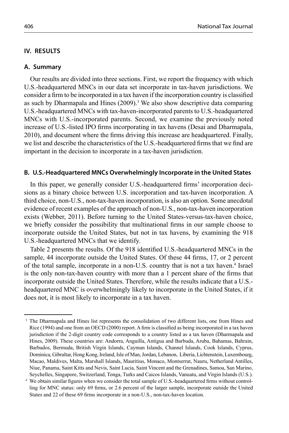# **IV. RESULTS**

## **A. Summary**

Our results are divided into three sections. First, we report the frequency with which U.S.-headquartered MNCs in our data set incorporate in tax-haven jurisdictions. We consider a firm to be incorporated in a tax haven if the incorporation country is classified as such by Dharmapala and Hines  $(2009)$ .<sup>3</sup> We also show descriptive data comparing U.S.-headquartered MNCs with tax-haven-incorporated parents to U.S.-headquartered MNCs with U.S.-incorporated parents. Second, we examine the previously noted increase of U.S.-listed IPO firms incorporating in tax havens (Desai and Dharmapala, 2010), and document where the firms driving this increase are headquartered. Finally, we list and describe the characteristics of the U.S.-headquartered firms that we find are important in the decision to incorporate in a tax-haven jurisdiction.

# **B. U.S.-Headquartered MNCs Overwhelmingly Incorporate in the United States**

In this paper, we generally consider U.S.-headquartered firms' incorporation decisions as a binary choice between U.S. incorporation and tax-haven incorporation. A third choice, non-U.S., non-tax-haven incorporation, is also an option. Some anecdotal evidence of recent examples of the approach of non-U.S., non-tax-haven incorporation exists (Webber, 2011). Before turning to the United States-versus-tax-haven choice, we briefly consider the possibility that multinational firms in our sample choose to incorporate outside the United States, but not in tax havens, by examining the 918 U.S.-headquartered MNCs that we identify.

Table 2 presents the results. Of the 918 identified U.S.-headquartered MNCs in the sample, 44 incorporate outside the United States. Of these 44 firms, 17, or 2 percent of the total sample, incorporate in a non-U.S. country that is not a tax haven.<sup>4</sup> Israel is the only non-tax-haven country with more than a 1 percent share of the firms that incorporate outside the United States. Therefore, while the results indicate that a U.S. headquartered MNC is overwhelmingly likely to incorporate in the United States, if it does not, it is most likely to incorporate in a tax haven.

<sup>&</sup>lt;sup>3</sup> The Dharmapala and Hines list represents the consolidation of two different lists, one from Hines and Rice (1994) and one from an OECD (2000) report. A firm is classified as being incorporated in a tax haven jurisdiction if the 2-digit country code corresponds to a country listed as a tax haven (Dharmapala and Hines, 2009). These countries are: Andorra, Anguilla, Antigua and Barbuda, Aruba, Bahamas, Bahrain, Barbados, Bermuda, British Virgin Islands, Cayman Islands, Channel Islands, Cook Islands, Cyprus, Dominica, Gibraltar, Hong Kong, Ireland, Isle of Man, Jordan, Lebanon, Liberia, Lichtenstein, Luxembourg, Macao, Maldives, Malta, Marshall Islands, Mauritius, Monaco, Montserrat, Nauru, Netherland Antilles, Niue, Panama, Saint Kitts and Nevis, Saint Lucia, Saint Vincent and the Grenadines, Samoa, San Marino, Seychelles, Singapore, Switzerland, Tonga, Turks and Caicos Islands, Vanuatu, and Virgin Islands (U.S.). 4 We obtain similar figures when we consider the total sample of U.S.-headquartered firms without control-

ling for MNC status: only 69 firms, or 2.6 percent of the larger sample, incorporate outside the United States and 22 of these 69 firms incorporate in a non-U.S., non-tax-haven location.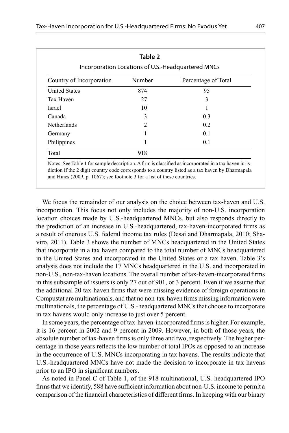| Table 2<br>Incorporation Locations of U.S.-Headquartered MNCs |        |                     |  |
|---------------------------------------------------------------|--------|---------------------|--|
| Country of Incorporation                                      | Number | Percentage of Total |  |
| <b>United States</b>                                          | 874    | 95                  |  |
| Tax Haven                                                     | 27     | 3                   |  |
| <b>Israel</b>                                                 | 10     |                     |  |
| Canada                                                        | 3      | 0.3                 |  |
| Netherlands                                                   | 2      | 0.2                 |  |
| Germany                                                       |        | 0.1                 |  |
| Philippines                                                   |        | 0.1                 |  |
| Total                                                         | 918    |                     |  |

Notes: See Table 1 for sample description. A firm is classified as incorporated in a tax haven jurisdiction if the 2 digit country code corresponds to a country listed as a tax haven by Dharmapala and Hines (2009, p. 1067); see footnote 3 for a list of these countries.

We focus the remainder of our analysis on the choice between tax-haven and U.S. incorporation. This focus not only includes the majority of non-U.S. incorporation location choices made by U.S.-headquartered MNCs, but also responds directly to the prediction of an increase in U.S.-headquartered, tax-haven-incorporated firms as a result of onerous U.S. federal income tax rules (Desai and Dharmapala, 2010; Shaviro, 2011). Table 3 shows the number of MNCs headquartered in the United States that incorporate in a tax haven compared to the total number of MNCs headquartered in the United States and incorporated in the United States or a tax haven. Table 3's analysis does not include the 17 MNCs headquartered in the U.S. and incorporated in non-U.S., non-tax-haven locations. The overall number of tax-haven-incorporated firms in this subsample of issuers is only 27 out of 901, or 3 percent. Even if we assume that the additional 20 tax-haven firms that were missing evidence of foreign operations in Compustat are multinationals, and that no non-tax-haven firms missing information were multinationals, the percentage of U.S.-headquartered MNCs that choose to incorporate in tax havens would only increase to just over 5 percent.

In some years, the percentage of tax-haven-incorporated firms is higher. For example, it is 16 percent in 2002 and 9 percent in 2009. However, in both of those years, the absolute number of tax-haven firms is only three and two, respectively. The higher percentage in those years reflects the low number of total IPOs as opposed to an increase in the occurrence of U.S. MNCs incorporating in tax havens. The results indicate that U.S.-headquartered MNCs have not made the decision to incorporate in tax havens prior to an IPO in significant numbers.

As noted in Panel C of Table 1, of the 918 multinational, U.S.-headquartered IPO firms that we identify, 588 have sufficient information about non-U.S. income to permit a comparison of the financial characteristics of different firms. In keeping with our binary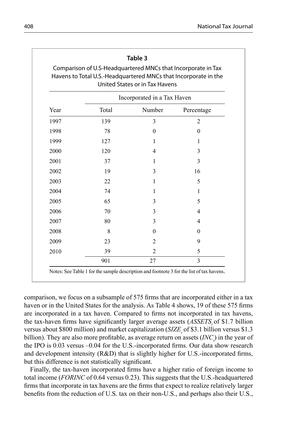| Comparison of U.S-Headquartered MNCs that Incorporate in Tax<br>Havens to Total U.S.-Headquartered MNCs that Incorporate in the<br>United States or in Tax Havens |       |                          |                |
|-------------------------------------------------------------------------------------------------------------------------------------------------------------------|-------|--------------------------|----------------|
| Incorporated in a Tax Haven                                                                                                                                       |       |                          |                |
| Year                                                                                                                                                              | Total | Number                   | Percentage     |
| 1997                                                                                                                                                              | 139   | 3                        | $\overline{2}$ |
| 1998                                                                                                                                                              | 78    | $\theta$                 | $\theta$       |
| 1999                                                                                                                                                              | 127   | 1                        | 1              |
| 2000                                                                                                                                                              | 120   | $\overline{\mathcal{A}}$ | 3              |
| 2001                                                                                                                                                              | 37    | 1                        | 3              |
| 2002                                                                                                                                                              | 19    | 3                        | 16             |
| 2003                                                                                                                                                              | 22    | 1                        | 5              |
| 2004                                                                                                                                                              | 74    | 1                        | 1              |
| 2005                                                                                                                                                              | 65    | 3                        | 5              |
| 2006                                                                                                                                                              | 70    | 3                        | 4              |
| 2007                                                                                                                                                              | 80    | 3                        | 4              |
| 2008                                                                                                                                                              | 8     | $\theta$                 | $\theta$       |
| 2009                                                                                                                                                              | 23    | 2                        | 9              |
| 2010                                                                                                                                                              | 39    | $\overline{2}$           | 5              |
|                                                                                                                                                                   | 901   | 27                       | 3              |

comparison, we focus on a subsample of 575 firms that are incorporated either in a tax haven or in the United States for the analysis. As Table 4 shows, 19 of these 575 firms are incorporated in a tax haven. Compared to firms not incorporated in tax havens, the tax-haven firms have significantly larger average assets (*ASSETS*, of \$1.7 billion versus about \$800 million) and market capitalization (*SIZE*, of \$3.1 billion versus \$1.3 billion). They are also more profitable, as average return on assets (*INC<sub>i</sub>*) in the year of the IPO is  $0.03$  versus  $-0.04$  for the U.S.-incorporated firms. Our data show research and development intensity  $(R&D)$  that is slightly higher for U.S.-incorporated firms, but this difference is not statistically significant.

Finally, the tax-haven incorporated firms have a higher ratio of foreign income to total income (*FORINC* of 0.64 versus 0.23). This suggests that the U.S.-headquartered firms that incorporate in tax havens are the firms that expect to realize relatively larger benefits from the reduction of U.S. tax on their non-U.S., and perhaps also their U.S.,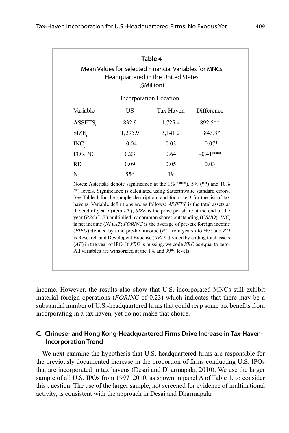|                  |         | Incorporation Location                                                                                                                                                                                                                                                                                                                                                                                                                                                                                                                                                                                                                                                                                                                                                                                                               |            |
|------------------|---------|--------------------------------------------------------------------------------------------------------------------------------------------------------------------------------------------------------------------------------------------------------------------------------------------------------------------------------------------------------------------------------------------------------------------------------------------------------------------------------------------------------------------------------------------------------------------------------------------------------------------------------------------------------------------------------------------------------------------------------------------------------------------------------------------------------------------------------------|------------|
| Variable         | US      | Tax Haven                                                                                                                                                                                                                                                                                                                                                                                                                                                                                                                                                                                                                                                                                                                                                                                                                            | Difference |
| ASSETS,          | 832.9   | 1,725.4                                                                                                                                                                                                                                                                                                                                                                                                                                                                                                                                                                                                                                                                                                                                                                                                                              | 892.5**    |
| SIZE,            | 1,295.9 | 3,141.2                                                                                                                                                                                                                                                                                                                                                                                                                                                                                                                                                                                                                                                                                                                                                                                                                              | 1,845.3*   |
| INC <sub>1</sub> | $-0.04$ | 0.03                                                                                                                                                                                                                                                                                                                                                                                                                                                                                                                                                                                                                                                                                                                                                                                                                                 | $-0.07*$   |
| <b>FORINC</b>    | 0.23    | 0.64                                                                                                                                                                                                                                                                                                                                                                                                                                                                                                                                                                                                                                                                                                                                                                                                                                 | $-0.41***$ |
| <b>RD</b>        | 0.09    | 0.05                                                                                                                                                                                                                                                                                                                                                                                                                                                                                                                                                                                                                                                                                                                                                                                                                                 | 0.03       |
| N                | 556     | 19                                                                                                                                                                                                                                                                                                                                                                                                                                                                                                                                                                                                                                                                                                                                                                                                                                   |            |
|                  |         | Notes: Asterisks denote significance at the $1\%$ (***), $5\%$ (**) and $10\%$<br>(*) levels. Significance is calculated using Satterthwaite standard errors.<br>See Table 1 for the sample description, and footnote 3 for the list of tax<br>havens. Variable definitions are as follows: $ASSETSt$ is the total assets at<br>the end of year $t$ (item $AT$ ); SIZE is the price per share at the end of the<br>year ( <i>PRCC F</i> ) multiplied by common shares outstanding ( <i>CSHO</i> ); <i>INC</i> ,<br>is net income $(NI)/AT$ ; FORINC is the average of pre-tax foreign income<br>(PIFO) divided by total pre-tax income (PI) from years t to $t+3$ ; and RD<br>is Research and Developent Expense (XRD) divided by ending total assets<br>$(AT)$ in the year of IPO. If XRD is missing, we code XRD as equal to zero. |            |

income. However, the results also show that U.S.-incorporated MNCs still exhibit material foreign operations (*FORINC* of 0.23) which indicates that there may be a substantial number of U.S.-headquartered firms that could reap some tax benefits from incorporating in a tax haven, yet do not make that choice.

# **C. Chinese- and Hong Kong-Headquartered Firms Drive Increase in Tax-Haven- Incorporation Trend**

We next examine the hypothesis that U.S.-headquartered firms are responsible for the previously documented increase in the proportion of firms conducting U.S. IPOs that are incorporated in tax havens (Desai and Dharmapala, 2010). We use the larger sample of all U.S. IPOs from 1997–2010, as shown in panel A of Table 1, to consider this question. The use of the larger sample, not screened for evidence of multinational activity, is consistent with the approach in Desai and Dharmapala.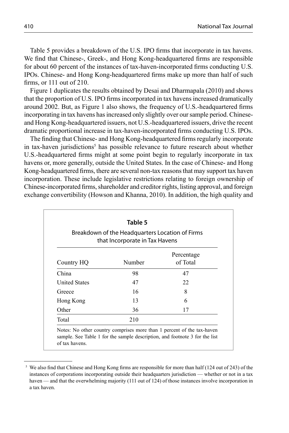Table 5 provides a breakdown of the U.S. IPO firms that incorporate in tax havens. We find that Chinese-, Greek-, and Hong Kong-headquartered firms are responsible for about 60 percent of the instances of tax-haven-incorporated firms conducting U.S. IPOs. Chinese- and Hong Kong-headquartered firms make up more than half of such firms, or  $111$  out of  $210$ .

Figure 1 duplicates the results obtained by Desai and Dharmapala (2010) and shows that the proportion of U.S. IPO firms incorporated in tax havens increased dramatically around 2002. But, as Figure 1 also shows, the frequency of U.S.-headquartered firms incorporating in tax havens has increased only slightly over our sample period. Chineseand Hong Kong-headquartered issuers, not U.S.-headquartered issuers, drive the recent dramatic proportional increase in tax-haven-incorporated firms conducting U.S. IPOs.

The finding that Chinese- and Hong Kong-headquartered firms regularly incorporate in tax-haven jurisdictions<sup>5</sup> has possible relevance to future research about whether U.S.-headquartered firms might at some point begin to regularly incorporate in tax havens or, more generally, outside the United States. In the case of Chinese- and Hong Kong-headquartered firms, there are several non-tax reasons that may support tax haven incorporation. These include legislative restrictions relating to foreign ownership of Chinese-incorporated firms, shareholder and creditor rights, listing approval, and foreign exchange convertibility (Howson and Khanna, 2010). In addition, the high quality and

| Breakdown of the Headquarters Location of Firms<br>that Incorporate in Tax Havens |        |                        |  |
|-----------------------------------------------------------------------------------|--------|------------------------|--|
| Country HQ                                                                        | Number | Percentage<br>of Total |  |
| China                                                                             | 98     | 47                     |  |
| <b>United States</b>                                                              | 47     | 22                     |  |
| Greece                                                                            | 16     | 8                      |  |
| Hong Kong                                                                         | 13     | 6                      |  |
| Other                                                                             | 36     | 17                     |  |
| Total                                                                             | 210    |                        |  |

<sup>5</sup> We also find that Chinese and Hong Kong firms are responsible for more than half (124 out of 243) of the instances of corporations incorporating outside their headquarters jurisdiction — whether or not in a tax haven — and that the overwhelming majority (111 out of 124) of those instances involve incorporation in a tax haven.

of tax havens.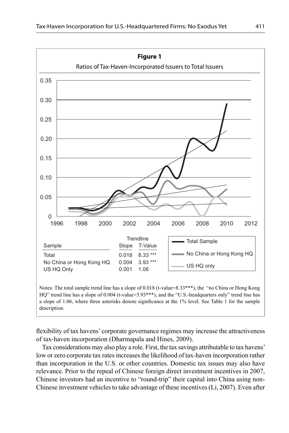

Notes: The total sample trend line has a slope of 0.018 (t-value=8.33\*\*\*), the "no China or Hong Kong HQ" trend line has a slope of 0.004 (t-value=3.93\*\*\*), and the "U.S.-headquarters only" trend line has a slope of 1.06, where three asterisks denote significance at the 1% level. See Table 1 for the sample description.

flexibility of tax havens' corporate governance regimes may increase the attractiveness of tax-haven incorporation (Dharmapala and Hines, 2009).

Tax considerations may also play a role. First, the tax savings attributable to tax havens' low or zero corporate tax rates increases the likelihood of tax-haven incorporation rather than incorporation in the U.S. or other countries. Domestic tax issues may also have relevance. Prior to the repeal of Chinese foreign direct investment incentives in 2007, Chinese investors had an incentive to "round-trip" their capital into China using non-Chinese investment vehicles to take advantage of these incentives (Li, 2007). Even after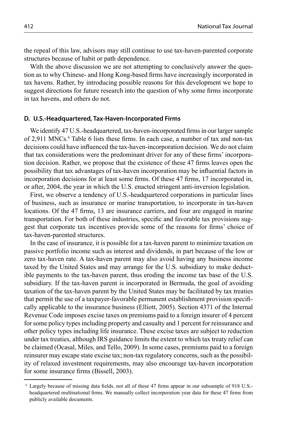the repeal of this law, advisors may still continue to use tax-haven-parented corporate structures because of habit or path dependence.

With the above discussion we are not attempting to conclusively answer the question as to why Chinese- and Hong Kong-based firms have increasingly incorporated in tax havens. Rather, by introducing possible reasons for this development we hope to suggest directions for future research into the question of why some firms incorporate in tax havens, and others do not.

# **D. U.S.-Headquartered, Tax-Haven-Incorporated Firms**

We identify 47 U.S.-headquartered, tax-haven-incorporated firms in our larger sample of 2,911 MNCs.<sup>6</sup> Table 6 lists these firms. In each case, a number of tax and non-tax decisions could have influenced the tax-haven-incorporation decision. We do not claim that tax considerations were the predominant driver for any of these firms' incorporation decision. Rather, we propose that the existence of these 47 firms leaves open the possibility that tax advantages of tax-haven incorporation may be influential factors in incorporation decisions for at least some firms. Of these 47 firms, 17 incorporated in, or after, 2004, the year in which the U.S. enacted stringent anti-inversion legislation.

First, we observe a tendency of U.S.-headquartered corporations in particular lines of business, such as insurance or marine transportation, to incorporate in tax-haven locations. Of the 47 firms, 13 are insurance carriers, and four are engaged in marine transportation. For both of these industries, specific and favorable tax provisions suggest that corporate tax incentives provide some of the reasons for firms' choice of tax-haven-parented structures.

In the case of insurance, it is possible for a tax-haven parent to minimize taxation on passive portfolio income such as interest and dividends, in part because of the low or zero tax-haven rate. A tax-haven parent may also avoid having any business income taxed by the United States and may arrange for the U.S. subsidiary to make deductible payments to the tax-haven parent, thus eroding the income tax base of the U.S. subsidiary. If the tax-haven parent is incorporated in Bermuda, the goal of avoiding taxation of the tax-haven parent by the United States may be facilitated by tax treaties that permit the use of a taxpayer-favorable permanent establishment provision specifi cally applicable to the insurance business (Elliott, 2005). Section 4371 of the Internal Revenue Code imposes excise taxes on premiums paid to a foreign insurer of 4 percent for some policy types including property and casualty and 1 percent for reinsurance and other policy types including life insurance. These excise taxes are subject to reduction under tax treaties, although IRS guidance limits the extent to which tax treaty relief can be claimed (Ocasal, Miles, and Tello, 2009). In some cases, premiums paid to a foreign reinsurer may escape state excise tax; non-tax regulatory concerns, such as the possibility of relaxed investment requirements, may also encourage tax-haven incorporation for some insurance firms (Bissell, 2003).

<sup>&</sup>lt;sup>6</sup> Largely because of missing data fields, not all of these 47 firms appear in our subsample of 918 U.S.headquartered multinational firms. We manually collect incorporation year data for these 47 firms from publicly available documents.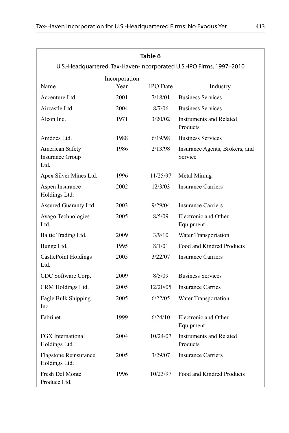| Table 6<br>U.S.-Headquartered, Tax-Haven-Incorporated U.S.-IPO Firms, 1997-2010 |               |                 |                                           |
|---------------------------------------------------------------------------------|---------------|-----------------|-------------------------------------------|
|                                                                                 | Incorporation |                 |                                           |
| Name                                                                            | Year          | <b>IPO</b> Date | Industry                                  |
| Accenture Ltd.                                                                  | 2001          | 7/18/01         | <b>Business Services</b>                  |
| Aircastle Ltd.                                                                  | 2004          | 8/7/06          | <b>Business Services</b>                  |
| Alcon Inc.                                                                      | 1971          | 3/20/02         | Instruments and Related<br>Products       |
| Amdocs Ltd.                                                                     | 1988          | 6/19/98         | <b>Business Services</b>                  |
| American Safety<br>Insurance Group<br>Ltd.                                      | 1986          | 2/13/98         | Insurance Agents, Brokers, and<br>Service |
| Apex Silver Mines Ltd.                                                          | 1996          | 11/25/97        | Metal Mining                              |
| Aspen Insurance<br>Holdings Ltd.                                                | 2002          | 12/3/03         | <b>Insurance Carriers</b>                 |
| Assured Guaranty Ltd.                                                           | 2003          | 9/29/04         | <b>Insurance Carriers</b>                 |
| Avago Technologies<br>Ltd.                                                      | 2005          | 8/5/09          | Electronic and Other<br>Equipment         |
| Baltic Trading Ltd.                                                             | 2009          | 3/9/10          | Water Transportation                      |
| Bunge Ltd.                                                                      | 1995          | 8/1/01          | Food and Kindred Products                 |
| <b>CastlePoint Holdings</b><br>Ltd.                                             | 2005          | 3/22/07         | <b>Insurance Carriers</b>                 |
| CDC Software Corp.                                                              | 2009          | 8/5/09          | <b>Business Services</b>                  |
| CRM Holdings Ltd.                                                               | 2005          | 12/20/05        | <b>Insurance Carries</b>                  |
| Eagle Bulk Shipping<br>Inc.                                                     | 2005          | 6/22/05         | Water Transportation                      |
| Fabrinet                                                                        | 1999          | 6/24/10         | Electronic and Other<br>Equipment         |
| FGX International<br>Holdings Ltd.                                              | 2004          | 10/24/07        | Instruments and Related<br>Products       |
| Flagstone Reinsurance<br>Holdings Ltd.                                          | 2005          | 3/29/07         | <b>Insurance Carriers</b>                 |
| Fresh Del Monte<br>Produce Ltd.                                                 | 1996          | 10/23/97        | Food and Kindred Products                 |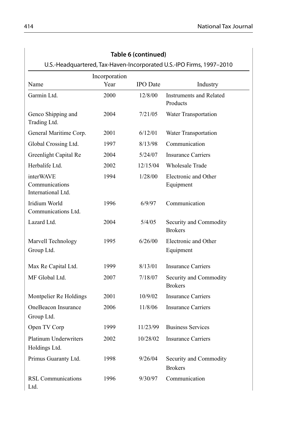| U.S.-Headquartered, Tax-Haven-Incorporated U.S.-IPO Firms, 1997-2010 |                       |                 |                                          |
|----------------------------------------------------------------------|-----------------------|-----------------|------------------------------------------|
| Name                                                                 | Incorporation<br>Year | <b>IPO</b> Date | Industry                                 |
| Garmin Ltd.                                                          | 2000                  | 12/8/00         | Instruments and Related<br>Products      |
| Genco Shipping and<br>Trading Ltd.                                   | 2004                  | 7/21/05         | Water Transportation                     |
| General Maritime Corp.                                               | 2001                  | 6/12/01         | Water Transportation                     |
| Global Crossing Ltd.                                                 | 1997                  | 8/13/98         | Communication                            |
| Greenlight Capital Re                                                | 2004                  | 5/24/07         | <b>Insurance Carriers</b>                |
| Herbalife Ltd.                                                       | 2002                  | 12/15/04        | <b>Wholesale Trade</b>                   |
| interWAVE<br>Communications<br>International Ltd.                    | 1994                  | 1/28/00         | Electronic and Other<br>Equipment        |
| Iridium World<br>Communications Ltd.                                 | 1996                  | 6/9/97          | Communication                            |
| Lazard Ltd.                                                          | 2004                  | 5/4/05          | Security and Commodity<br><b>Brokers</b> |
| Marvell Technology<br>Group Ltd.                                     | 1995                  | 6/26/00         | Electronic and Other<br>Equipment        |
| Max Re Capital Ltd.                                                  | 1999                  | 8/13/01         | <b>Insurance Carriers</b>                |
| MF Global Ltd.                                                       | 2007                  | 7/18/07         | Security and Commodity<br><b>Brokers</b> |
| Montpelier Re Holdings                                               | 2001                  | 10/9/02         | <b>Insurance Carriers</b>                |
| OneBeacon Insurance<br>Group Ltd.                                    | 2006                  | 11/8/06         | <b>Insurance Carriers</b>                |
| Open TV Corp                                                         | 1999                  | 11/23/99        | <b>Business Services</b>                 |
| <b>Platinum Underwriters</b><br>Holdings Ltd.                        | 2002                  | 10/28/02        | <b>Insurance Carriers</b>                |
| Primus Guaranty Ltd.                                                 | 1998                  | 9/26/04         | Security and Commodity<br><b>Brokers</b> |
| <b>RSL Communications</b><br>Ltd.                                    | 1996                  | 9/30/97         | Communication                            |

# **Table 6 (continued)**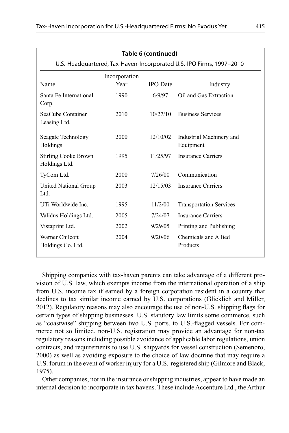| Incorporation                                |      |                 |                                       |
|----------------------------------------------|------|-----------------|---------------------------------------|
| Name                                         | Year | <b>IPO</b> Date | Industry                              |
| Santa Fe International<br>Corp.              | 1990 | 6/9/97          | Oil and Gas Extraction                |
| SeaCube Container<br>Leasing Ltd.            | 2010 | 10/27/10        | <b>Business Services</b>              |
| Seagate Technology<br>Holdings               | 2000 | 12/10/02        | Industrial Machinery and<br>Equipment |
| <b>Stirling Cooke Brown</b><br>Holdings Ltd. | 1995 | 11/25/97        | <b>Insurance Carriers</b>             |
| TyCom Ltd.                                   | 2000 | 7/26/00         | Communication                         |
| United National Group<br>Ltd.                | 2003 | 12/15/03        | <b>Insurance Carriers</b>             |
| UTi Worldwide Inc.                           | 1995 | 11/2/00         | <b>Transportation Services</b>        |
| Validus Holdings Ltd.                        | 2005 | 7/24/07         | Insurance Carriers                    |
| Vistaprint Ltd.                              | 2002 | 9/29/05         | Printing and Publishing               |
| Warner Chilcott<br>Holdings Co. Ltd.         | 2004 | 9/20/06         | Chemicals and Allied<br>Products      |

**Table 6 (continued)**

Shipping companies with tax-haven parents can take advantage of a different provision of U.S. law, which exempts income from the international operation of a ship from U.S. income tax if earned by a foreign corporation resident in a country that declines to tax similar income earned by U.S. corporations (Glicklich and Miller, 2012). Regulatory reasons may also encourage the use of non-U.S. shipping flags for certain types of shipping businesses. U.S. statutory law limits some commerce, such as "coastwise" shipping between two U.S. ports, to U.S.-flagged vessels. For commerce not so limited, non-U.S. registration may provide an advantage for non-tax regulatory reasons including possible avoidance of applicable labor regulations, union contracts, and requirements to use U.S. shipyards for vessel construction (Semenoro, 2000) as well as avoiding exposure to the choice of law doctrine that may require a U.S. forum in the event of worker injury for a U.S.-registered ship (Gilmore and Black, 1975).

Other companies, not in the insurance or shipping industries, appear to have made an internal decision to incorporate in tax havens. These include Accenture Ltd., the Arthur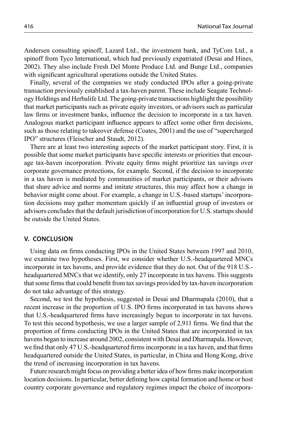Andersen consulting spinoff, Lazard Ltd., the investment bank, and TyCom Ltd., a spinoff from Tyco International, which had previously expatriated (Desai and Hines, 2002). They also include Fresh Del Monte Produce Ltd. and Bunge Ltd., companies with significant agricultural operations outside the United States.

Finally, several of the companies we study conducted IPOs after a going-private transaction previously established a tax-haven parent. These include Seagate Technology Holdings and Herbalife Ltd. The going-private transactions highlight the possibility that market participants such as private equity investors, or advisors such as particular law firms or investment banks, influence the decision to incorporate in a tax haven. Analogous market participant influence appears to affect some other firm decisions, such as those relating to takeover defense (Coates, 2001) and the use of "supercharged IPO" structures (Fleischer and Staudt, 2012).

There are at least two interesting aspects of the market participant story. First, it is possible that some market participants have specific interests or priorities that encourage tax-haven incorporation. Private equity firms might prioritize tax savings over corporate governance protections, for example. Second, if the decision to incorporate in a tax haven is mediated by communities of market participants, or their advisors that share advice and norms and imitate structures, this may affect how a change in behavior might come about. For example, a change in U.S.-based startups' incorporation decisions may gather momentum quickly if an influential group of investors or advisors concludes that the default jurisdiction of incorporation for U.S. startups should be outside the United States.

# **V. CONCLUSION**

Using data on firms conducting IPOs in the United States between 1997 and 2010, we examine two hypotheses. First, we consider whether U.S.-headquartered MNCs incorporate in tax havens, and provide evidence that they do not. Out of the 918 U.S. headquartered MNCs that we identify, only 27 incorporate in tax havens. This suggests that some firms that could benefit from tax savings provided by tax-haven incorporation do not take advantage of this strategy.

Second, we test the hypothesis, suggested in Desai and Dharmapala (2010), that a recent increase in the proportion of U.S. IPO firms incorporated in tax havens shows that U.S.-headquartered firms have increasingly begun to incorporate in tax havens. To test this second hypothesis, we use a larger sample of 2,911 firms. We find that the proportion of firms conducting IPOs in the United States that are incorporated in tax havens began to increase around 2002, consistent with Desai and Dharmapala. However, we find that only 47 U.S.-headquartered firms incorporate in a tax haven, and that firms headquartered outside the United States, in particular, in China and Hong Kong, drive the trend of increasing incorporation in tax havens.

Future research might focus on providing a better idea of how firms make incorporation location decisions. In particular, better defining how capital formation and home or host country corporate governance and regulatory regimes impact the choice of incorpora-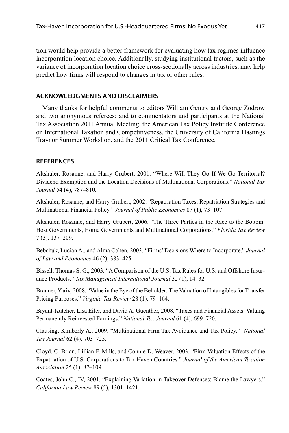tion would help provide a better framework for evaluating how tax regimes influence incorporation location choice. Additionally, studying institutional factors, such as the variance of incorporation location choice cross-sectionally across industries, may help predict how firms will respond to changes in tax or other rules.

# **ACKNOWLEDGMENTS AND DISCLAIMERS**

Many thanks for helpful comments to editors William Gentry and George Zodrow and two anonymous referees; and to commentators and participants at the National Tax Association 2011 Annual Meeting, the American Tax Policy Institute Conference on International Taxation and Competitiveness, the University of California Hastings Traynor Summer Workshop, and the 2011 Critical Tax Conference.

# **REFERENCES**

Altshuler, Rosanne, and Harry Grubert, 2001. "Where Will They Go If We Go Territorial? Dividend Exemption and the Location Decisions of Multinational Corporations." *National Tax Journal* 54 (4), 787–810.

Altshuler, Rosanne, and Harry Grubert, 2002. "Repatriation Taxes, Repatriation Strategies and Multinational Financial Policy." *Journal of Public Economics* 87 (1), 73–107.

Altshuler, Rosanne, and Harry Grubert, 2006. "The Three Parties in the Race to the Bottom: Host Governments, Home Governments and Multinational Corporations." *Florida Tax Review* 7 (3), 137–209.

Bebchuk, Lucian A., and Alma Cohen, 2003. "Firms' Decisions Where to Incorporate." *Journal of Law and Economics* 46 (2), 383–425.

Bissell, Thomas S. G., 2003. "A Comparison of the U.S. Tax Rules for U.S. and Offshore Insurance Products." *Tax Management International Journal* 32 (1), 14–32.

Brauner, Yariv, 2008. "Value in the Eye of the Beholder: The Valuation of Intangibles for Transfer Pricing Purposes." *Virginia Tax Review* 28 (1), 79–164.

Bryant-Kutcher, Lisa Eiler, and David A. Guenther, 2008. "Taxes and Financial Assets: Valuing Permanently Reinvested Earnings." *National Tax Journal* 61 (4), 699–720.

Clausing, Kimberly A., 2009. "Multinational Firm Tax Avoidance and Tax Policy." *National Tax Journal* 62 (4), 703–725.

Cloyd, C. Brian, Lillian F. Mills, and Connie D. Weaver, 2003. "Firm Valuation Effects of the Expatriation of U.S. Corporations to Tax Haven Countries." *Journal of the American Taxation Association* 25 (1), 87–109.

Coates, John C., IV, 2001. "Explaining Variation in Takeover Defenses: Blame the Lawyers." *California Law Review* 89 (5), 1301–1421.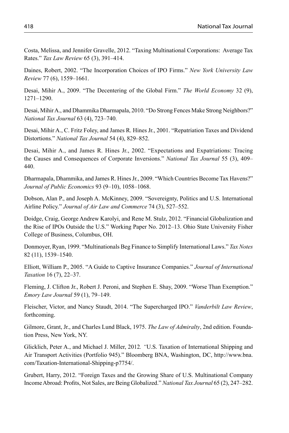Costa, Melissa, and Jennifer Gravelle, 2012. "Taxing Multinational Corporations: Average Tax Rates." *Tax Law Review* 65 (3), 391–414.

Daines, Robert, 2002. "The Incorporation Choices of IPO Firms." *New York University Law Review* 77 (6), 1559–1661.

Desai, Mihir A., 2009. "The Decentering of the Global Firm." *The World Economy* 32 (9), 1271–1290.

Desai, Mihir A., and Dhammika Dharmapala, 2010. "Do Strong Fences Make Strong Neighbors?" *National Tax Journal* 63 (4), 723–740.

Desai, Mihir A., C. Fritz Foley, and James R. Hines Jr., 2001. "Repatriation Taxes and Dividend Distortions." *National Tax Journal* 54 (4), 829–852.

Desai, Mihir A., and James R. Hines Jr., 2002. "Expectations and Expatriations: Tracing the Causes and Consequences of Corporate Inversions." *National Tax Journal* 55 (3), 409– 440.

Dharmapala, Dhammika, and James R. Hines Jr., 2009. "Which Countries Become Tax Havens?" *Journal of Public Economics* 93 (9–10), 1058–1068.

Dobson, Alan P., and Joseph A. McKinney, 2009. "Sovereignty, Politics and U.S. International Airline Policy." *Journal of Air Law and Commerce* 74 (3), 527–552.

Doidge, Craig, George Andrew Karolyi, and Rene M. Stulz, 2012. "Financial Globalization and the Rise of IPOs Outside the U.S." Working Paper No. 2012–13. Ohio State University Fisher College of Business, Columbus, OH.

Donmoyer, Ryan, 1999. "Multinationals Beg Finance to Simplify International Laws." *Tax Notes* 82 (11), 1539–1540.

Elliott, William P., 2005. "A Guide to Captive Insurance Companies." *Journal of International Taxation* 16 (7), 22–37.

Fleming, J. Clifton Jr., Robert J. Peroni, and Stephen E. Shay, 2009. "Worse Than Exemption." *Emory Law Journal* 59 (1), 79–149.

Fleischer, Victor, and Nancy Staudt, 2014. "The Supercharged IPO." *Vanderbilt Law Review*, forthcoming.

Gilmore, Grant, Jr., and Charles Lund Black, 1975. *The Law of Admiralty*, 2nd edition. Foundation Press, New York, NY.

Glicklich, Peter A., and Michael J. Miller, 2012*. "*U.S. Taxation of International Shipping and Air Transport Activities (Portfolio 945)." Bloomberg BNA, Washington, DC, http://www.bna. com/Taxation-International-Shipping-p7754/.

Grubert, Harry, 2012. "Foreign Taxes and the Growing Share of U.S. Multinational Company Income Abroad: Profits, Not Sales, are Being Globalized." *National Tax Journal* 65 (2), 247–282.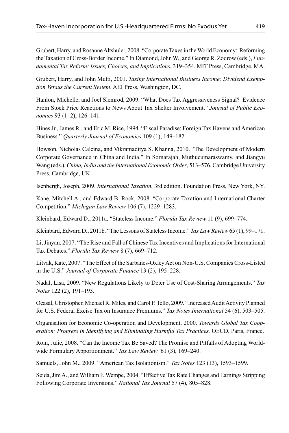Grubert, Harry, and Rosanne Altshuler, 2008. "Corporate Taxes in the World Economy: Reforming the Taxation of Cross-Border Income." In Diamond, John W., and George R. Zodrow (eds.), *Fundamental Tax Reform: Issues, Choices, and Implications*, 319–354. MIT Press, Cambridge, MA.

Grubert, Harry, and John Mutti, 2001. *Taxing International Business Income: Dividend Exemption Versus the Current System*. AEI Press, Washington, DC.

Hanlon, Michelle, and Joel Slemrod, 2009. "What Does Tax Aggressiveness Signal? Evidence From Stock Price Reactions to News About Tax Shelter Involvement." *Journal of Public Economics* 93 (1–2), 126–141.

Hines Jr., James R., and Eric M. Rice, 1994. "Fiscal Paradise: Foreign Tax Havens and American Business." *Quarterly Journal of Economics* 109 (1), 149–182.

Howson, Nicholas Calcina, and Vikramaditya S. Khanna, 2010. "The Development of Modern Corporate Governance in China and India." In Sornarajah, Muthucumaraswamy, and Jiangyu Wang (eds.), *China, India and the International Economic Order*, 513–576. Cambridge University Press, Cambridge, UK.

Isenbergh, Joseph, 2009. *International Taxation*, 3rd edition. Foundation Press, New York, NY.

Kane, Mitchell A., and Edward B. Rock, 2008. "Corporate Taxation and International Charter Competition." *Michigan Law Review* 106 (7), 1229–1283.

Kleinbard, Edward D., 2011a. "Stateless Income." *Florida Tax Review* 11 (9), 699–774.

Kleinbard, Edward D., 2011b. "The Lessons of Stateless Income." *Tax Law Review* 65 (1), 99–171.

Li, Jinyan, 2007. "The Rise and Fall of Chinese Tax Incentives and Implications for International Tax Debates." *Florida Tax Review* 8 (7), 669–712.

Litvak, Kate, 2007. "The Effect of the Sarbanes-Oxley Act on Non-U.S. Companies Cross-Listed in the U.S." *Journal of Corporate Finance* 13 (2), 195–228.

Nadal, Lisa, 2009. "New Regulations Likely to Deter Use of Cost-Sharing Arrangements." *Tax Notes* 122 (2), 191–193.

Ocasal, Christopher, Michael R. Miles, and Carol P. Tello, 2009. "Increased Audit Activity Planned for U.S. Federal Excise Tax on Insurance Premiums." *Tax Notes International* 54 (6), 503–505.

Organisation for Economic Co-operation and Development, 2000. *Towards Global Tax Cooperation: Progress in Identifying and Eliminating Harmful Tax Practices.* OECD, Paris, France.

Roin, Julie, 2008. "Can the Income Tax Be Saved? The Promise and Pitfalls of Adopting Worldwide Formulary Apportionment." *Tax Law Review* 61 (3), 169–240.

Samuels, John M., 2009. "American Tax Isolationism." *Tax Notes* 123 (13), 1593–1599.

Seida, Jim A., and William F. Wempe, 2004. "Effective Tax Rate Changes and Earnings Stripping Following Corporate Inversions." *National Tax Journal* 57 (4), 805–828.